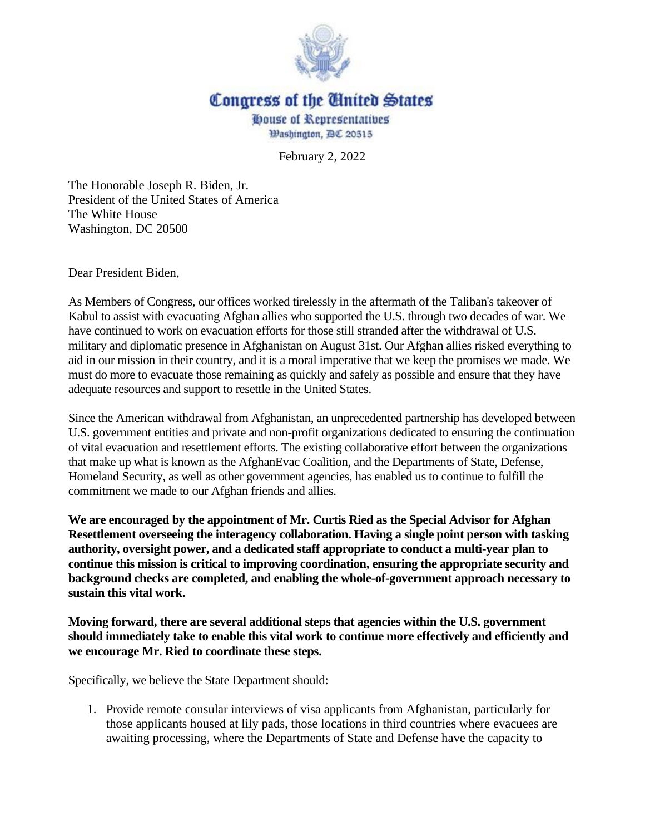

## Congress of the Cinited States

**ODDUSE of Representatives** Washington, DC 20515

February 2, 2022

The Honorable Joseph R. Biden, Jr. President of the United States of America The White House Washington, DC 20500

Dear President Biden,

As Members of Congress, our offices worked tirelessly in the aftermath of the Taliban's takeover of Kabul to assist with evacuating Afghan allies who supported the U.S. through two decades of war. We have continued to work on evacuation efforts for those still stranded after the withdrawal of U.S. military and diplomatic presence in Afghanistan on August 31st. Our Afghan allies risked everything to aid in our mission in their country, and it is a moral imperative that we keep the promises we made. We must do more to evacuate those remaining as quickly and safely as possible and ensure that they have adequate resources and support to resettle in the United States.

Since the American withdrawal from Afghanistan, an unprecedented partnership has developed between U.S. government entities and private and non-profit organizations dedicated to ensuring the continuation of vital evacuation and resettlement efforts. The existing collaborative effort between the organizations that make up what is known as the AfghanEvac Coalition, and the Departments of State, Defense, Homeland Security, as well as other government agencies, has enabled us to continue to fulfill the commitment we made to our Afghan friends and allies.

**We are encouraged by the appointment of Mr. Curtis Ried as the Special Advisor for Afghan Resettlement overseeing the interagency collaboration. Having a single point person with tasking authority, oversight power, and a dedicated staff appropriate to conduct a multi-year plan to continue this mission is critical to improving coordination, ensuring the appropriate security and background checks are completed, and enabling the whole-of-government approach necessary to sustain this vital work.**

**Moving forward, there are several additional steps that agencies within the U.S. government should immediately take to enable this vital work to continue more effectively and efficiently and we encourage Mr. Ried to coordinate these steps.**

Specifically, we believe the State Department should:

1. Provide remote consular interviews of visa applicants from Afghanistan, particularly for those applicants housed at lily pads, those locations in third countries where evacuees are awaiting processing, where the Departments of State and Defense have the capacity to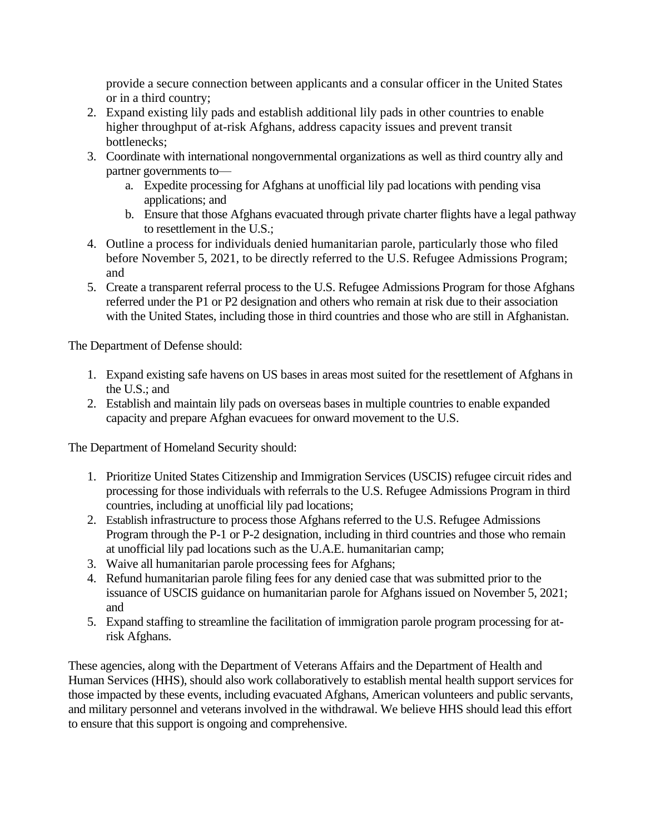provide a secure connection between applicants and a consular officer in the United States or in a third country;

- 2. Expand existing lily pads and establish additional lily pads in other countries to enable higher throughput of at-risk Afghans, address capacity issues and prevent transit bottlenecks;
- 3. Coordinate with international nongovernmental organizations as well as third country ally and partner governments to
	- a. Expedite processing for Afghans at unofficial lily pad locations with pending visa applications; and
	- b. Ensure that those Afghans evacuated through private charter flights have a legal pathway to resettlement in the U.S.;
- 4. Outline a process for individuals denied humanitarian parole, particularly those who filed before November 5, 2021, to be directly referred to the U.S. Refugee Admissions Program; and
- 5. Create a transparent referral process to the U.S. Refugee Admissions Program for those Afghans referred under the P1 or P2 designation and others who remain at risk due to their association with the United States, including those in third countries and those who are still in Afghanistan.

The Department of Defense should:

- 1. Expand existing safe havens on US bases in areas most suited for the resettlement of Afghans in the U.S.; and
- 2. Establish and maintain lily pads on overseas bases in multiple countries to enable expanded capacity and prepare Afghan evacuees for onward movement to the U.S.

The Department of Homeland Security should:

- 1. Prioritize United States Citizenship and Immigration Services (USCIS) refugee circuit rides and processing for those individuals with referrals to the U.S. Refugee Admissions Program in third countries, including at unofficial lily pad locations;
- 2. Establish infrastructure to process those Afghans referred to the U.S. Refugee Admissions Program through the P-1 or P-2 designation, including in third countries and those who remain at unofficial lily pad locations such as the U.A.E. humanitarian camp;
- 3. Waive all humanitarian parole processing fees for Afghans;
- 4. Refund humanitarian parole filing fees for any denied case that was submitted prior to the issuance of USCIS guidance on humanitarian parole for Afghans issued on November 5, 2021; and
- 5. Expand staffing to streamline the facilitation of immigration parole program processing for atrisk Afghans.

These agencies, along with the Department of Veterans Affairs and the Department of Health and Human Services (HHS), should also work collaboratively to establish mental health support services for those impacted by these events, including evacuated Afghans, American volunteers and public servants, and military personnel and veterans involved in the withdrawal. We believe HHS should lead this effort to ensure that this support is ongoing and comprehensive.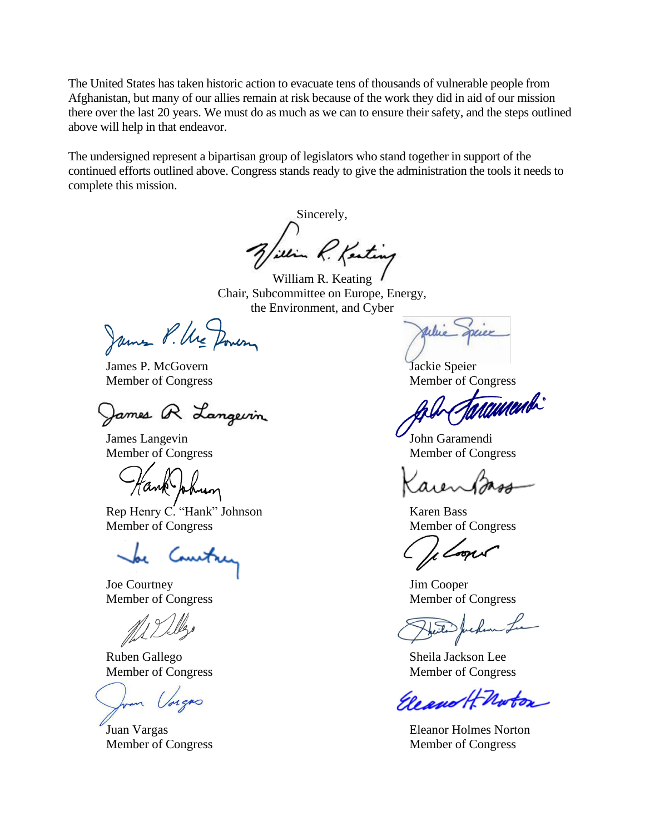The United States has taken historic action to evacuate tens of thousands of vulnerable people from Afghanistan, but many of our allies remain at risk because of the work they did in aid of our mission there over the last 20 years. We must do as much as we can to ensure their safety, and the steps outlined above will help in that endeavor.

The undersigned represent a bipartisan group of legislators who stand together in support of the continued efforts outlined above. Congress stands ready to give the administration the tools it needs to complete this mission.

Sincerely, Lilian R. Kenting

William R. Keating Chair, Subcommittee on Europe, Energy, the Environment, and Cyber

James P. Ure Dowen

James P. McGovern Jackie Speier

James R Langevin

Rep Henry C. "Hank" Johnson Karen Bass Member of Congress Member of Congress

Joe Courtney Jim Cooper

Ruben Gallego Sheila Jackson Lee Member of Congress Member of Congress

Member of Congress Member of Congress

Mammbi

James Langevin John Garamendi Member of Congress Member of Congress

Member of Congress Member of Congress

Eleano H Noton

Juan Vargas Eleanor Holmes Norton Member of Congress Member of Congress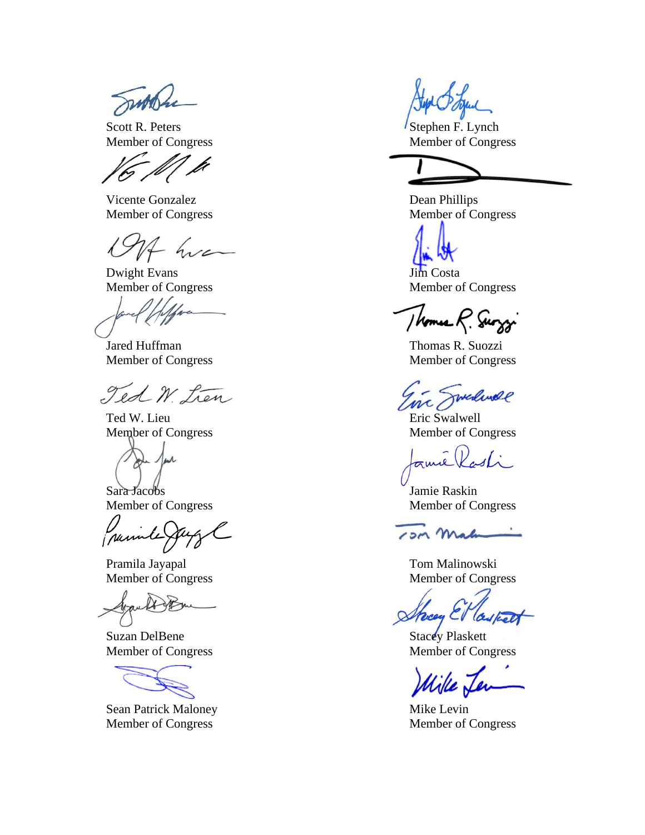proba

Scott R. Peters Scott R. Peters Stephen F. Lynch

Vicente Gonzalez Dean Phillips

Dwight Evans Jim Costa

Jared Huffman Thomas R. Suozzi

Ted W. Lien

Ted W. Lieu Eric Swalwell Member of Congress Member of Congress

Sara Jacobs Jamie Raskin Member of Congress Member of Congress

parinte

Pramila Jayapal Tom Malinowski

 $\alpha$ 

Suzan DelBene Stacey Plaskett

Sean Patrick Maloney Mike Levin Member of Congress Member of Congress

Member of Congress Member of Congress

Member of Congress Member of Congress

Member of Congress Member of Congress

I homes R. Surggi

Member of Congress Member of Congress

malinde  $mc/$ 

esti ame

13M Mah

Member of Congress Member of Congress

Streey & Caspel

Member of Congress Member of Congress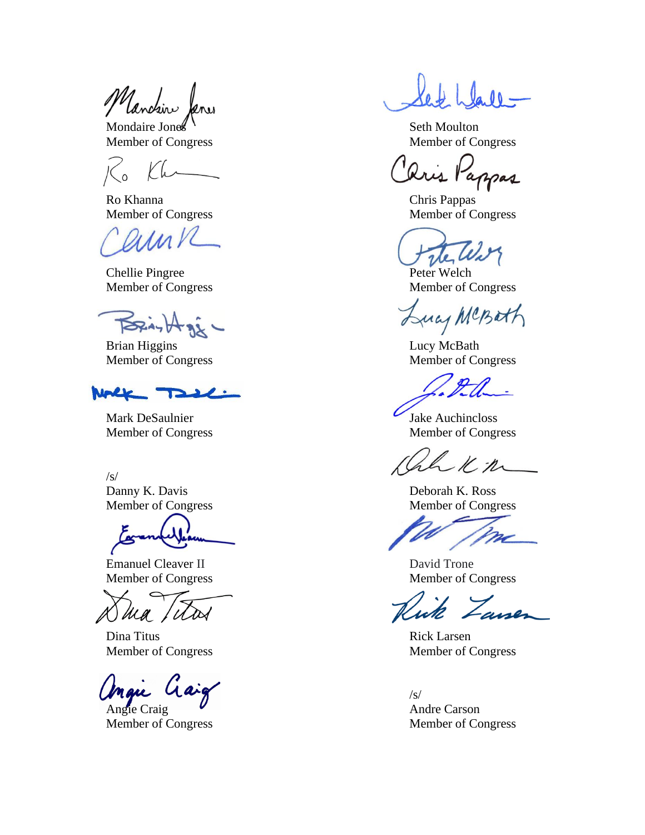Mandin

Mondaire Jones November 2012

Ro Khanna Chris Pappas

aink

Chellie Pingree Peter Welch

**PERAY HARR** 

Brian Higgins Lucy McBath Member of Congress Member of Congress

Nole **TILL** 

Mark DeSaulnier Jake Auchincloss Member of Congress Member of Congress

/s/

Member of Congress Member of Congress

Emanuel Cleaver II David Trone

Ma, WW

Dina Titus Rick Larsen

Angie Craig  $\overline{V}$  Andre Carson

Member of Congress Member of Congress

Member of Congress Member of Congress

Lris Pappas

Member of Congress Member of Congress

vel

Member of Congress Member of Congress

uas MCBath

Kn

Danny K. Davis Deborah K. Ross

Member of Congress Member of Congress

'ane

Member of Congress Member of Congress

/s/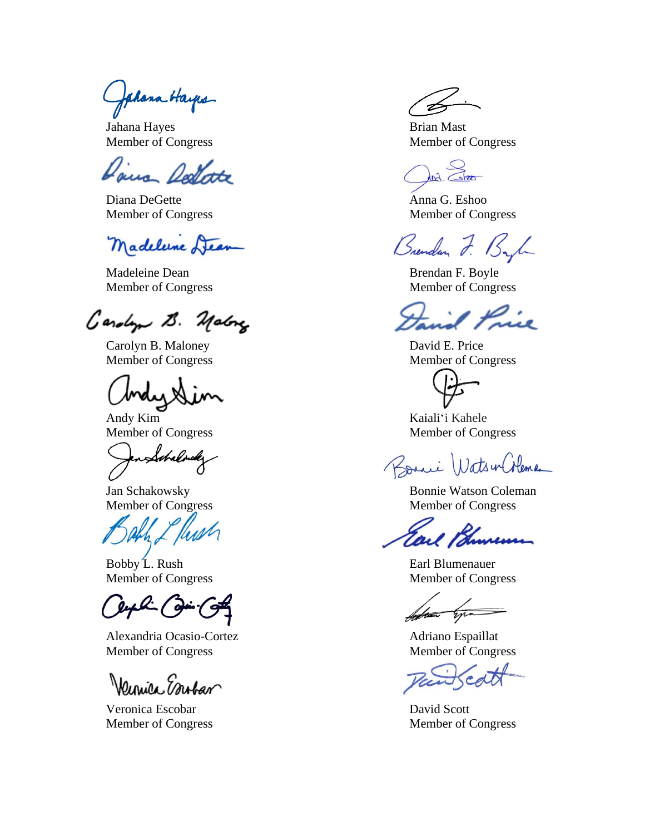Jahana Hayes

Jahana Hayes Brian Mast

Jana Rodbotte

Diana DeGette Anna G. Eshoo Member of Congress Member of Congress

Madelune Dear

Madeleine Dean Brendan F. Boyle

Gardyn B. Malong

Carolyn B. Maloney David E. Price Member of Congress Member of Congress

Member of Congress Member of Congress

Schalnder

Bobby L. Rush Earl Blumenauer Member of Congress Member of Congress

Alexandria Ocasio-Cortez Adriano Espaillat Member of Congress Member of Congress

Wennice Embar

Veronica Escobar David Scott

Member of Congress Member of Congress

In Stro

Brendan J.

Member of Congress Member of Congress

Andy Kim Kaiali'i Kahele

 $2a_{11}$ WatsenColeman

Jan Schakowsky Bonnie Watson Coleman Member of Congress Member of Congress

Soften you

Member of Congress Member of Congress